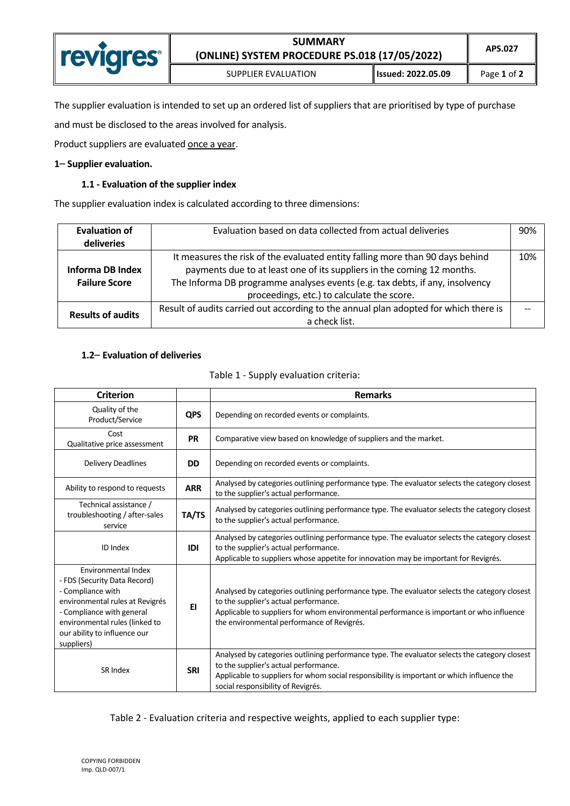| <b>revigres</b> | <b>SUMMARY</b><br>(ONLINE) SYSTEM PROCEDURE PS.018 (17/05/2022) | APS.027               |             |
|-----------------|-----------------------------------------------------------------|-----------------------|-------------|
|                 | SUPPLIER EVALUATION                                             | ll Issued: 2022.05.09 | Page 1 of 2 |

The supplier evaluation is intended to set up an ordered list of suppliers that are prioritised by type of purchase

and must be disclosed to the areas involved for analysis.

Product suppliers are evaluated once a year.

## **1**– **Supplier evaluation.**

## **1.1 - Evaluation of the supplier index**

The supplier evaluation index is calculated according to three dimensions:

| <b>Evaluation of</b>     | Evaluation based on data collected from actual deliveries<br>90%                     |     |  |
|--------------------------|--------------------------------------------------------------------------------------|-----|--|
| deliveries               |                                                                                      |     |  |
|                          | It measures the risk of the evaluated entity falling more than 90 days behind        | 10% |  |
| Informa DB Index         | payments due to at least one of its suppliers in the coming 12 months.               |     |  |
| <b>Failure Score</b>     | The Informa DB programme analyses events (e.g. tax debts, if any, insolvency         |     |  |
|                          | proceedings, etc.) to calculate the score.                                           |     |  |
| <b>Results of audits</b> | Result of audits carried out according to the annual plan adopted for which there is |     |  |
|                          | a check list.                                                                        |     |  |

## **1.2**– **Evaluation of deliveries**

| <b>Criterion</b>                                                                                                                                                                                                         |            | <b>Remarks</b>                                                                                                                                                                                                                                                                   |  |  |
|--------------------------------------------------------------------------------------------------------------------------------------------------------------------------------------------------------------------------|------------|----------------------------------------------------------------------------------------------------------------------------------------------------------------------------------------------------------------------------------------------------------------------------------|--|--|
| Quality of the<br>Product/Service                                                                                                                                                                                        | <b>QPS</b> | Depending on recorded events or complaints.                                                                                                                                                                                                                                      |  |  |
| Cost<br>Qualitative price assessment                                                                                                                                                                                     | <b>PR</b>  | Comparative view based on knowledge of suppliers and the market.                                                                                                                                                                                                                 |  |  |
| <b>Delivery Deadlines</b>                                                                                                                                                                                                | <b>DD</b>  | Depending on recorded events or complaints.                                                                                                                                                                                                                                      |  |  |
| Ability to respond to requests                                                                                                                                                                                           | <b>ARR</b> | Analysed by categories outlining performance type. The evaluator selects the category closest<br>to the supplier's actual performance.                                                                                                                                           |  |  |
| Technical assistance /<br>troubleshooting / after-sales<br>service                                                                                                                                                       | TA/TS      | Analysed by categories outlining performance type. The evaluator selects the category closest<br>to the supplier's actual performance.                                                                                                                                           |  |  |
| <b>ID</b> Index                                                                                                                                                                                                          | IDI        | Analysed by categories outlining performance type. The evaluator selects the category closest<br>to the supplier's actual performance.<br>Applicable to suppliers whose appetite for innovation may be important for Revigrés.                                                   |  |  |
| Environmental Index<br>- FDS (Security Data Record)<br>- Compliance with<br>environmental rules at Revigrés<br>- Compliance with general<br>environmental rules (linked to<br>our ability to influence our<br>suppliers) | EI         | Analysed by categories outlining performance type. The evaluator selects the category closest<br>to the supplier's actual performance.<br>Applicable to suppliers for whom environmental performance is important or who influence<br>the environmental performance of Revigrés. |  |  |
| SR Index                                                                                                                                                                                                                 | <b>SRI</b> | Analysed by categories outlining performance type. The evaluator selects the category closest<br>to the supplier's actual performance.<br>Applicable to suppliers for whom social responsibility is important or which influence the<br>social responsibility of Revigrés.       |  |  |

|  |  | Table 1 - Supply evaluation criteria: |  |
|--|--|---------------------------------------|--|
|--|--|---------------------------------------|--|

Table 2 - Evaluation criteria and respective weights, applied to each supplier type: